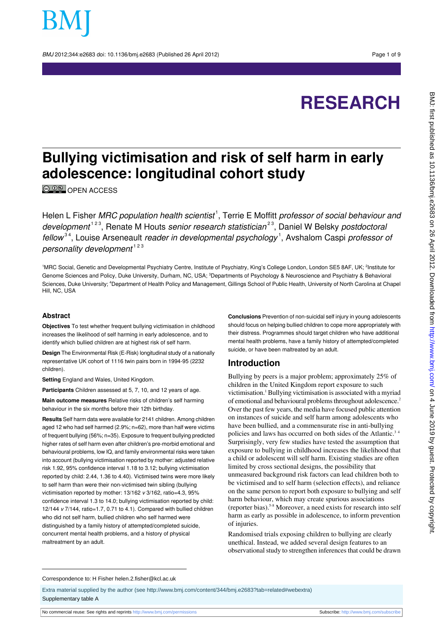BMJ 2012;344:e2683 doi: 10.1136/bmj.e2683 (Published 26 April 2012) Page 1 of 9

# **RESEARCH**

# **Bullying victimisation and risk of self harm in early adolescence: longitudinal cohort study**

**C**  $\frac{0}{2}$  OPEN ACCESS

Helen L Fisher *MRC population health scientist*<sup>1</sup>, Terrie E Moffitt *professor of social behaviour and* development<sup>123</sup>, Renate M Houts senior research statistician<sup>23</sup>, Daniel W Belsky postdoctoral fellow<sup>34</sup>, Louise Arseneault reader in developmental psychology<sup>1</sup>, Avshalom Caspi professor of personality development<sup>123</sup>

<sup>1</sup>MRC Social, Genetic and Developmental Psychiatry Centre, Institute of Psychiatry, King's College London, London SE5 8AF, UK; <sup>2</sup>Institute for Genome Sciences and Policy, Duke University, Durham, NC, USA; <sup>3</sup>Departments of Psychology & Neuroscience and Psychiatry & Behavioral Sciences, Duke University; <sup>4</sup>Department of Health Policy and Management, Gillings School of Public Health, University of North Carolina at Chapel Hill, NC, USA

#### **Abstract**

**Objectives** To test whether frequent bullying victimisation in childhood increases the likelihood of self harming in early adolescence, and to identify which bullied children are at highest risk of self harm.

**Design** The Environmental Risk (E-Risk) longitudinal study of a nationally representative UK cohort of 1116 twin pairs born in 1994-95 (2232 children).

**Setting** England and Wales, United Kingdom.

**Participants** Children assessed at 5, 7, 10, and 12 years of age.

**Main outcome measures** Relative risks of children's self harming behaviour in the six months before their 12th birthday.

**Results** Self harm data were available for 2141 children. Among children aged 12 who had self harmed (2.9%; n=62), more than half were victims of frequent bullying (56%; n=35). Exposure to frequent bullying predicted higher rates of self harm even after children's pre-morbid emotional and behavioural problems, low IQ, and family environmental risks were taken into account (bullying victimisation reported by mother: adjusted relative risk 1.92, 95% confidence interval 1.18 to 3.12; bullying victimisation reported by child: 2.44, 1.36 to 4.40). Victimised twins were more likely to self harm than were their non-victimised twin sibling (bullying victimisation reported by mother: 13/162 v 3/162, ratio=4.3, 95% confidence interval 1.3 to 14.0; bullying victimisation reported by child: 12/144 v 7/144, ratio=1.7, 0.71 to 4.1). Compared with bullied children who did not self harm, bullied children who self harmed were distinguished by a family history of attempted/completed suicide, concurrent mental health problems, and a history of physical maltreatment by an adult.

**Conclusions** Prevention of non-suicidal self injury in young adolescents should focus on helping bullied children to cope more appropriately with their distress. Programmes should target children who have additional mental health problems, have a family history of attempted/completed suicide, or have been maltreated by an adult.

#### **Introduction**

Bullying by peers is a major problem; approximately 25% of children in the United Kingdom report exposure to such victimisation.<sup>1</sup> Bullying victimisation is associated with a myriad of emotional and behavioural problems throughout adolescence.<sup>2</sup> Over the past few years, the media have focused public attention on instances of suicide and self harm among adolescents who have been bullied, and a commensurate rise in anti-bullying policies and laws has occurred on both sides of the Atlantic.<sup>34</sup> Surprisingly, very few studies have tested the assumption that exposure to bullying in childhood increases the likelihood that a child or adolescent will self harm. Existing studies are often limited by cross sectional designs, the possibility that unmeasured background risk factors can lead children both to be victimised and to self harm (selection effects), and reliance on the same person to report both exposure to bullying and self harm behaviour, which may create spurious associations (reporter bias).5-8 Moreover, a need exists for research into self harm as early as possible in adolescence, to inform prevention of injuries.

Randomised trials exposing children to bullying are clearly unethical. Instead, we added several design features to an observational study to strengthen inferences that could be drawn

#### Correspondence to: H Fisher helen.2.fisher@kcl.ac.uk

Extra material supplied by the author (see [http://www.bmj.com/content/344/bmj.e2683?tab=related#webextra\)](http://www.bmj.com/content/344/bmj.e2683?tab=related#webextra) Supplementary table A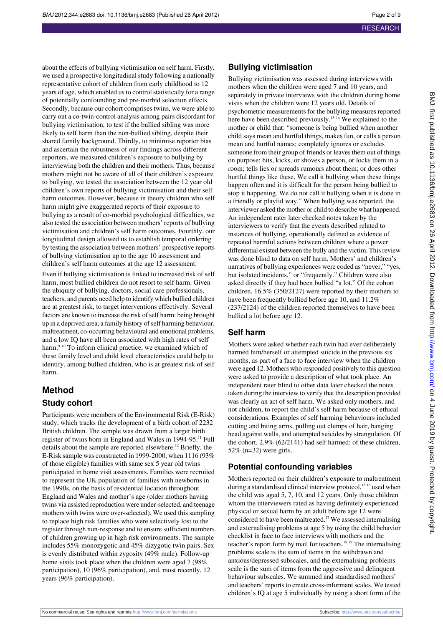about the effects of bullying victimisation on self harm. Firstly, we used a prospective longitudinal study following a nationally representative cohort of children from early childhood to 12 years of age, which enabled us to control statistically for a range of potentially confounding and pre-morbid selection effects. Secondly, because our cohort comprises twins, we were able to carry out a co-twin-control analysis among pairs discordant for bullying victimisation, to test if the bullied sibling was more likely to self harm than the non-bullied sibling, despite their shared family background. Thirdly, to minimise reporter bias and ascertain the robustness of our findings across different reporters, we measured children's exposure to bullying by interviewing both the children and their mothers. Thus, because mothers might not be aware of all of their children's exposure to bullying, we tested the association between the 12 year old children's own reports of bullying victimisation and their self harm outcomes. However, because in theory children who self harm might give exaggerated reports of their exposure to bullying as a result of co-morbid psychological difficulties, we also tested the association between mothers' reports of bullying victimisation and children's self harm outcomes. Fourthly, our longitudinal design allowed us to establish temporal ordering by testing the association between mothers' prospective reports of bullying victimisation up to the age 10 assessment and children's self harm outcomes at the age 12 assessment.

Even if bullying victimisation is linked to increased risk of self harm, most bullied children do not resort to self harm. Given the ubiquity of bullying, doctors, social care professionals, teachers, and parents need help to identify which bullied children are at greatest risk, to target interventions effectively. Several factors are known to increase the risk of self harm: being brought up in a deprived area, a family history of self harming behaviour, maltreatment, co-occurring behavioural and emotional problems, and a low IQ have all been associated with high rates of self harm.<sup>9 10</sup> To inform clinical practice, we examined which of these family level and child level characteristics could help to identify, among bullied children, who is at greatest risk of self harm.

## **Method Study cohort**

Participants were members of the Environmental Risk (E-Risk) study, which tracks the development of a birth cohort of 2232 British children. The sample was drawn from a larger birth register of twins born in England and Wales in 1994-95.<sup>11</sup> Full details about the sample are reported elsewhere.<sup>12</sup> Briefly, the E-Risk sample was constructed in 1999-2000, when 1116 (93% of those eligible) families with same sex 5 year old twins participated in home visit assessments. Families were recruited to represent the UK population of families with newborns in the 1990s, on the basis of residential location throughout England and Wales and mother's age (older mothers having twins via assisted reproduction were under-selected, and teenage mothers with twins were over-selected). We used this sampling to replace high risk families who were selectively lost to the register through non-response and to ensure sufficient numbers of children growing up in high risk environments. The sample includes 55% monozygotic and 45% dizygotic twin pairs. Sex is evenly distributed within zygosity (49% male). Follow-up home visits took place when the children were aged 7 (98% participation), 10 (96% participation), and, most recently, 12 years (96% participation).

### **Bullying victimisation**

Bullying victimisation was assessed during interviews with mothers when the children were aged 7 and 10 years, and separately in private interviews with the children during home visits when the children were 12 years old. Details of psychometric measurements for the bullying measures reported here have been described previously.<sup>13 14</sup> We explained to the mother or child that: "someone is being bullied when another child says mean and hurtful things, makes fun, or calls a person mean and hurtful names; completely ignores or excludes someone from their group of friends or leaves them out of things on purpose; hits, kicks, or shoves a person, or locks them in a room; tells lies or spreads rumours about them; or does other hurtful things like these. We call it bullying when these things happen often and it is difficult for the person being bullied to stop it happening. We do not call it bullying when it is done in a friendly or playful way." When bullying was reported, the interviewer asked the mother or child to describe what happened. An independent rater later checked notes taken by the interviewers to verify that the events described related to instances of bullying, operationally defined as evidence of repeated harmful actions between children where a power differential existed between the bully and the victim. This review was done blind to data on self harm. Mothers' and children's narratives of bullying experiences were coded as "never," "yes, but isolated incidents," or "frequently." Children were also asked directly if they had been bullied "a lot." Of the cohort children, 16.5% (350/2127) were reported by their mothers to have been frequently bullied before age 10, and 11.2% (237/2124) of the children reported themselves to have been bullied a lot before age 12.

#### **Self harm**

Mothers were asked whether each twin had ever deliberately harmed him/herself or attempted suicide in the previous six months, as part of a face to face interview when the children were aged 12. Mothers who responded positively to this question were asked to provide a description of what took place. An independent rater blind to other data later checked the notes taken during the interview to verify that the description provided was clearly an act of self harm. We asked only mothers, and not children, to report the child's self harm because of ethical considerations. Examples of self harming behaviours included cutting and biting arms, pulling out clumps of hair, banging head against walls, and attempted suicides by strangulation. Of the cohort, 2.9% (62/2141) had self harmed; of these children, 52% (n=32) were girls.

#### **Potential confounding variables**

Mothers reported on their children's exposure to maltreatment during a standardised clinical interview protocol,<sup>15 16</sup> used when the child was aged 5, 7, 10, and 12 years. Only those children whom the interviewers rated as having definitely experienced physical or sexual harm by an adult before age 12 were considered to have been maltreated.<sup>17</sup> We assessed internalising and externalising problems at age 5 by using the child behavior checklist in face to face interviews with mothers and the teacher's report form by mail for teachers.<sup>18 19</sup> The internalising problems scale is the sum of items in the withdrawn and anxious/depressed subscales, and the externalising problems scale is the sum of items from the aggressive and delinquent behaviour subscales. We summed and standardised mothers' and teachers' reports to create cross-informant scales. We tested children's IQ at age 5 individually by using a short form of the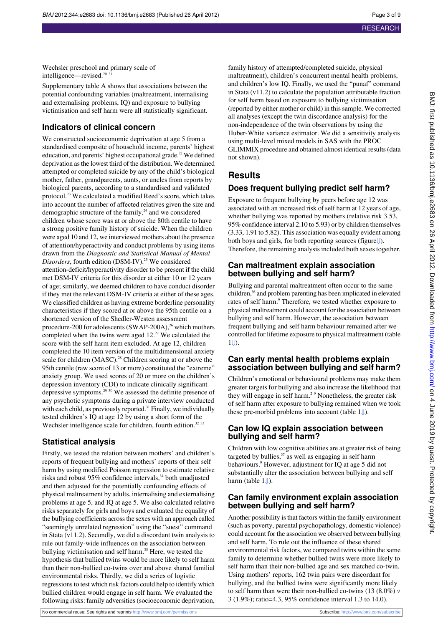Wechsler preschool and primary scale of intelligence—revised.<sup>20</sup><sup>21</sup>

Supplementary table A shows that associations between the potential confounding variables (maltreatment, internalising and externalising problems, IQ) and exposure to bullying victimisation and self harm were all statistically significant.

#### **Indicators of clinical concern**

We constructed socioeconomic deprivation at age 5 from a standardised composite of household income, parents' highest education, and parents' highest occupational grade.<sup>22</sup> We defined deprivation as the lowest third of the distribution. We determined attempted or completed suicide by any of the child's biological mother, father, grandparents, aunts, or uncles from reports by biological parents, according to a standardised and validated protocol.<sup>23</sup> We calculated a modified Reed's score, which takes into account the number of affected relatives given the size and demographic structure of the family,<sup>24</sup> and we considered children whose score was at or above the 80th centile to have a strong positive family history of suicide. When the children were aged 10 and 12, we interviewed mothers about the presence of attention/hyperactivity and conduct problems by using items drawn from the *Diagnostic and Statistical Manual of Mental Disorders*, fourth edition (DSM-IV).<sup>25</sup> We considered attention-deficit/hyperactivity disorder to be present if the child met DSM-IV criteria for this disorder at either 10 or 12 years of age; similarly, we deemed children to have conduct disorder if they met the relevant DSM-IV criteria at either of these ages. We classified children as having extreme borderline personality characteristics if they scored at or above the 95th centile on a shortened version of the Shedler-Westen assessment procedure-200 for adolescents (SWAP-200A),<sup>26</sup> which mothers completed when the twins were aged 12.<sup>27</sup> We calculated the score with the self harm item excluded. At age 12, children completed the 10 item version of the multidimensional anxiety scale for children (MASC).<sup>28</sup> Children scoring at or above the 95th centile (raw score of 13 or more) constituted the "extreme" anxiety group. We used scores of 20 or more on the children's depression inventory (CDI) to indicate clinically significant depressive symptoms.<sup>29 30</sup> We assessed the definite presence of any psychotic symptoms during a private interview conducted with each child, as previously reported.<sup>31</sup> Finally, we individually tested children's IQ at age 12 by using a short form of the Wechsler intelligence scale for children, fourth edition.<sup>32 33</sup>

#### **Statistical analysis**

Firstly, we tested the relation between mothers' and children's reports of frequent bullying and mothers' reports of their self harm by using modified Poisson regression to estimate relative risks and robust 95% confidence intervals,<sup>34</sup> both unadjusted and then adjusted for the potentially confounding effects of physical maltreatment by adults, internalising and externalising problems at age 5, and IQ at age 5. We also calculated relative risks separately for girls and boys and evaluated the equality of the bullying coefficients across the sexes with an approach called "seemingly unrelated regression" using the "suest" command in Stata (v11.2). Secondly, we did a discordant twin analysis to rule out family-wide influences on the association between bullying victimisation and self harm.<sup>35</sup> Here, we tested the hypothesis that bullied twins would be more likely to self harm than their non-bullied co-twins over and above shared familial environmental risks. Thirdly, we did a series of logistic regressions to test which risk factors could help to identify which bullied children would engage in self harm. We evaluated the following risks: family adversities (socioeconomic deprivation,

family history of attempted/completed suicide, physical maltreatment), children's concurrent mental health problems, and children's low IQ. Finally, we used the "punaf" command in Stata (v11.2) to calculate the population attributable fraction for self harm based on exposure to bullying victimisation (reported by either mother or child) in this sample. We corrected all analyses (except the twin discordance analysis) for the non-independence of the twin observations by using the Huber-White variance estimator. We did a sensitivity analysis using multi-level mixed models in SAS with the PROC GLIMMIX procedure and obtained almost identical results (data not shown).

### **Results**

#### **Does frequent bullying predict self harm?**

Exposure to frequent bullying by peers before age 12 was associated with an increased risk of self harm at 12 years of age, whether bullying was reported by mothers (relative risk 3.53, 95% confidence interval 2.10 to 5.93) or by children themselves (3.33, 1.91 to 5.82). This association was equally evident among both boys and girls, for both reporting sources (figur[e⇓](#page-8-0)). Therefore, the remaining analysis included both sexes together.

#### **Can maltreatment explain association between bullying and self harm?**

Bullying and parental maltreatment often occur to the same children,<sup>36</sup> and problem parenting has been implicated in elevated rates of self harm.<sup>9</sup> Therefore, we tested whether exposure to physical maltreatment could account for the association between bullying and self harm. However, the association between frequent bullying and self harm behaviour remained after we controlled for lifetime exposure to physical maltreatment (table [1⇓](#page-6-0)).

#### **Can early mental health problems explain association between bullying and self harm?**

Children's emotional or behavioural problems may make them greater targets for bullying and also increase the likelihood that they will engage in self harm.<sup>2,9</sup> Nonetheless, the greater risk of self harm after exposure to bullying remained when we took these pre-morbid problems into account (table  $1 \downarrow$ ).

#### **Can low IQ explain association between bullying and self harm?**

Children with low cognitive abilities are at greater risk of being targeted by bullies, $37$  as well as engaging in self harm behaviours.<sup>9</sup> However, adjustment for IQ at age 5 did not substantially alter the association between bullying and self harm (table  $1 \downarrow$ ).

#### **Can family environment explain association between bullying and self harm?**

Another possibility is that factors within the family environment (such as poverty, parental psychopathology, domestic violence) could account for the association we observed between bullying and self harm. To rule out the influence of these shared environmental risk factors, we compared twins within the same family to determine whether bullied twins were more likely to self harm than their non-bullied age and sex matched co-twin. Using mothers' reports, 162 twin pairs were discordant for bullying, and the bullied twins were significantly more likely to self harm than were their non-bullied co-twins (13 (8.0%) *v* 3 (1.9%); ratio=4.3, 95% confidence interval 1.3 to 14.0).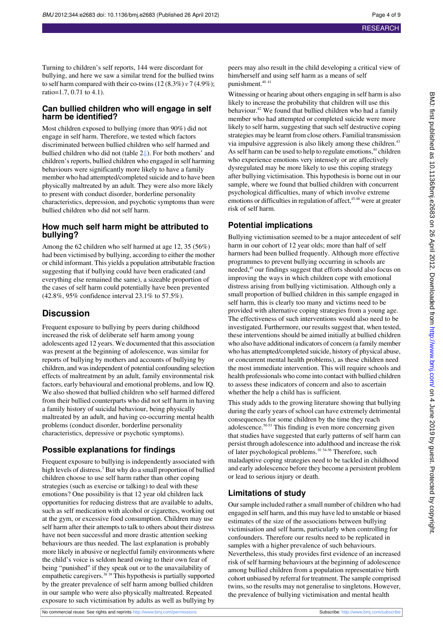Turning to children's self reports, 144 were discordant for bullying, and here we saw a similar trend for the bullied twins to self harm compared with their co-twins (12 (8.3%) *v* 7 (4.9%); ratio=1.7, 0.71 to 4.1).

#### **Can bullied children who will engage in self harm be identified?**

Most children exposed to bullying (more than 90%) did not engage in self harm. Therefore, we tested which factors discriminated between bullied children who self harmed and bullied children who did not (table2[⇓\)](#page-7-0). For both mothers' and children's reports, bullied children who engaged in self harming behaviours were significantly more likely to have a family member who had attempted/completed suicide and to have been physically maltreated by an adult. They were also more likely to present with conduct disorder, borderline personality characteristics, depression, and psychotic symptoms than were bullied children who did not self harm.

#### **How much self harm might be attributed to bullying?**

Among the 62 children who self harmed at age 12, 35 (56%) had been victimised by bullying, according to either the mother or child informant. This yields a population attributable fraction suggesting that if bullying could have been eradicated (and everything else remained the same), a sizeable proportion of the cases of self harm could potentially have been prevented (42.8%, 95% confidence interval 23.1% to 57.5%).

#### **Discussion**

Frequent exposure to bullying by peers during childhood increased the risk of deliberate self harm among young adolescents aged 12 years. We documented that this association was present at the beginning of adolescence, was similar for reports of bullying by mothers and accounts of bullying by children, and was independent of potential confounding selection effects of maltreatment by an adult, family environmental risk factors, early behavioural and emotional problems, and low IQ. We also showed that bullied children who self harmed differed from their bullied counterparts who did not self harm in having a family history of suicidal behaviour, being physically maltreated by an adult, and having co-occurring mental health problems (conduct disorder, borderline personality characteristics, depressive or psychotic symptoms).

#### **Possible explanations for findings**

Frequent exposure to bullying is independently associated with high levels of distress.<sup>2</sup> But why do a small proportion of bullied children choose to use self harm rather than other coping strategies (such as exercise or talking) to deal with these emotions? One possibility is that 12 year old children lack opportunities for reducing distress that are available to adults, such as self medication with alcohol or cigarettes, working out at the gym, or excessive food consumption. Children may use self harm after their attempts to talk to others about their distress have not been successful and more drastic attention seeking behaviours are thus needed. The last explanation is probably more likely in abusive or neglectful family environments where the child's voice is seldom heard owing to their own fear of being "punished" if they speak out or to the unavailability of empathetic caregivers.38 39 This hypothesis is partially supported by the greater prevalence of self harm among bullied children in our sample who were also physically maltreated. Repeated exposure to such victimisation by adults as well as bullying by

peers may also result in the child developing a critical view of him/herself and using self harm as a means of self punishment.<sup>40 41</sup>

Witnessing or hearing about others engaging in self harm is also likely to increase the probability that children will use this behaviour.<sup>42</sup> We found that bullied children who had a family member who had attempted or completed suicide were more likely to self harm, suggesting that such self destructive coping strategies may be learnt from close others. Familial transmission via impulsive aggression is also likely among these children.<sup>43</sup> As self harm can be used to help to regulate emotions,<sup>44</sup> children who experience emotions very intensely or are affectively dysregulated may be more likely to use this coping strategy after bullying victimisation. This hypothesis is borne out in our sample, where we found that bullied children with concurrent psychological difficulties, many of which involve extreme emotions or difficulties in regulation of affect,<sup>45-48</sup> were at greater risk of self harm.

#### **Potential implications**

Bullying victimisation seemed to be a major antecedent of self harm in our cohort of 12 year olds; more than half of self harmers had been bullied frequently. Although more effective programmes to prevent bullying occurring in schools are needed,<sup>49</sup> our findings suggest that efforts should also focus on improving the ways in which children cope with emotional distress arising from bullying victimisation. Although only a small proportion of bullied children in this sample engaged in self harm, this is clearly too many and victims need to be provided with alternative coping strategies from a young age. The effectiveness of such interventions would also need to be investigated. Furthermore, our results suggest that, when tested, these interventions should be aimed initially at bullied children who also have additional indicators of concern (a family member who has attempted/completed suicide, history of physical abuse, or concurrent mental health problems), as these children need the most immediate intervention. This will require schools and health professionals who come into contact with bullied children to assess these indicators of concern and also to ascertain whether the help a child has is sufficient.

This study adds to the growing literature showing that bullying during the early years of school can have extremely detrimental consequences for some children by the time they reach adolescence.<sup>50-53</sup> This finding is even more concerning given that studies have suggested that early patterns of self harm can persist through adolescence into adulthood and increase the risk of later psychological problems.<sup>10 54-56</sup> Therefore, such maladaptive coping strategies need to be tackled in childhood and early adolescence before they become a persistent problem or lead to serious injury or death.

#### **Limitations of study**

Our sample included rather a small number of children who had engaged in self harm, and this may have led to unstable or biased estimates of the size of the associations between bullying victimisation and self harm, particularly when controlling for confounders. Therefore our results need to be replicated in samples with a higher prevalence of such behaviours. Nevertheless, this study provides first evidence of an increased risk of self harming behaviours at the beginning of adolescence among bullied children from a population representative birth cohort unbiased by referral for treatment. The sample comprised twins, so the results may not generalise to singletons. However, the prevalence of bullying victimisation and mental health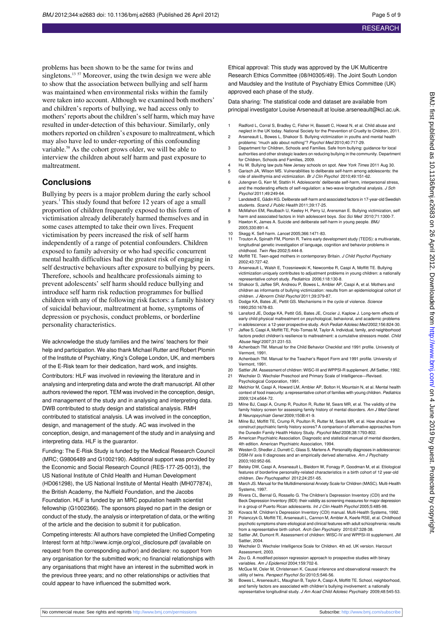problems has been shown to be the same for twins and singletons.<sup>13 57</sup> Moreover, using the twin design we were able to show that the association between bullying and self harm was maintained when environmental risks within the family were taken into account. Although we examined both mothers' and children's reports of bullying, we had access only to mothers' reports about the children's self harm, which may have resulted in under-detection of this behaviour. Similarly, only mothers reported on children's exposure to maltreatment, which may also have led to under-reporting of this confounding variable.<sup>58</sup> As the cohort grows older, we will be able to interview the children about self harm and past exposure to maltreatment.

#### **Conclusions**

Bullying by peers is a major problem during the early school years.<sup>1</sup> This study found that before 12 years of age a small proportion of children frequently exposed to this form of victimisation already deliberately harmed themselves and in some cases attempted to take their own lives. Frequent victimisation by peers increased the risk of self harm independently of a range of potential confounders. Children exposed to family adversity or who had specific concurrent mental health difficulties had the greatest risk of engaging in self destructive behaviours after exposure to bullying by peers. Therefore, schools and healthcare professionals aiming to prevent adolescents' self harm should reduce bullying and introduce self harm risk reduction programmes for bullied children with any of the following risk factors: a family history of suicidal behaviour, maltreatment at home, symptoms of depression or psychosis, conduct problems, or borderline personality characteristics.

We acknowledge the study families and the twins' teachers for their help and participation. We also thank Michael Rutter and Robert Plomin of the Institute of Psychiatry, King's College London, UK, and members of the E-Risk team for their dedication, hard work, and insights. Contributors: HLF was involved in reviewing the literature and in analysing and interpreting data and wrote the draft manuscript. All other authors reviewed the report. TEM was involved in the conception, design, and management of the study and in analysing and interpreting data. DWB contributed to study design and statistical analysis. RMH contributed to statistical analysis. LA was involved in the conception, design, and management of the study. AC was involved in the conception, design, and management of the study and in analysing and interpreting data. HLF is the guarantor.

Funding: The E-Risk Study is funded by the Medical Research Council (MRC; G9806489 and G1002190). Additional support was provided by the Economic and Social Research Council (RES-177-25-0013), the US National Institute of Child Health and Human Development (HD061298), the US National Institute of Mental Health (MH077874), the British Academy, the Nuffield Foundation, and the Jacobs Foundation. HLF is funded by an MRC population health scientist fellowship (G1002366). The sponsors played no part in the design or conduct of the study, the analysis or interpretation of data, or the writing of the article and the decision to submit it for publication.

Competing interests: All authors have completed the Unified Competing Interest form at [http://www.icmje.org/coi\\_disclosure.pdf](http://www.icmje.org/coi_disclosure.pdf) (available on request from the corresponding author) and declare: no support from any organisation for the submitted work; no financial relationships with any organisations that might have an interest in the submitted work in the previous three years; and no other relationships or activities that could appear to have influenced the submitted work.

Ethical approval: This study was approved by the UK Multicentre Research Ethics Committee (08/H0305/49). The Joint South London and Maudsley and the Institute of Psychiatry Ethics Committee (UK) approved each phase of the study.

Data sharing: The statistical code and dataset are available from principal investigator Louise Arseneault at louise.arseneault@kcl.ac.uk.

- 1 Radford L, Corral S, Bradley C, Fisher H, Bassett C, Howat N, et al. Child abuse and
- neglect in the UK today. National Society for the Prevention of Cruelty to Children, 2011. 2 Arseneault L, Bowes L, Shakoor S. Bullying victimization in youths and mental health
- problems: "much ado about nothing"? Psychol Med 2010;40:717-29. 3 Department for Children, Schools and Families. Safe from bullying: guidance for local
- authorities and other strategic leaders on reducing bullying in the community. Department for Children, Schools and Families, 2009.
- 4 Hu W. Bullying law puts New Jersey schools on spot. New York Times 2011 Aug 30.<br>5 Garisch JA, Wilson MS, Vulnerabilities to deliberate self-harm among adolescents: the Garisch JA, Wilson MS. Vulnerabilities to deliberate self-harm among adolescents: the role of alexithymia and victimization. Br J Clin Psychol 2010;49:151-62.
- 6 Jutengren G, Kerr M, Stattin H. Adolescents' deliberate self-harm, interpersonal stress, and the moderating effects of self-regulation: a two-wave longitudinal analysis. J Sch Psychol 2011;49:249-64.
- 7 Landstedt E, Gådin KG. Deliberate self-harm and associated factors in 17-year-old Swedish students. Scand J Public Health 2011;39:17-25.
- 8 McMahon EM, Reulbach U, Keeley H, Perry IJ, Arensman E. Bullying victimization, self harm and associated factors in Irish adolescent boys. Soc Sci Med 2010;71:1300-7.
- 9 Hawton K, James A. Suicide and deliberate self-harm in young people. BMJ 2005;330:891-4.
- 10 Skegg K. Self-harm. Lancet 2005;366:1471-83. 11 Trouton A, Spinath FM, Plomin R. Twins early development study (TEDS): a multivariate, longitudinal genetic investigation of language, cognition and behavior problems in childhood. Twin Res 2002;5:444-8.
- Moffitt TE. Teen-aged mothers in contemporary Britain. J Child Psychol Psychiatry 2002;43:727-42.
- 13 Arseneault L, Walsh E, Trzesniewski K, Newcombe R, Caspi A, Moffitt TE. Bullying victimization uniquely contributes to adjustment problems in young children: a nationally representative cohort study. Pediatrics 2006;118:130-8.
- 14 Shakoor S, Jaffee SR, Andreou P, Bowes L, Ambler AP, Caspi A, et al. Mothers and children as informants of bullying victimization: results from an epidemiological cohort of children. J Abnorm Child Psychol 2011;39:379-87.
- 15 Dodge KA, Bates JE, Pettit GS. Mechanisms in the cycle of violence. Science 1990;250:1678-83.
- 16 Lansford JE, Dodge KA, Pettit GS, Bates JE, Crozier J, Kaplow J. Long-term effects of early child physical maltreatment on psychological, behavioral, and academic problems in adolescence: a 12-year prospective study. Arch Pediatr Adolesc Med 2002;156:824-30.
- 17 Jaffee S, Caspi A, Moffitt TE, Polo-Tomas M, Taylor A. Individual, family, and neighborhood factors predict children's resilience to maltreatment: a cumulative stressors model. Child Abuse Negl 2007;31:231-53.
- 18 Achenbach TM. Manual for the Child Behavior Checklist and 1991 profile. University of Vermont, 1991.
- 19 Achenbach TM. Manual for the Teacher's Report Form and 1991 profile. University of Vermont, 1991.
- 20 Sattler JM. Assessment of children: WISC-III and WPPSI-R supplement. JM Sattler, 1992. 21 Wechsler D. Wechsler Preschool and Primary Scale of Intelligence-Psychological Corporation, 1991.
- 22 Melchior M, Caspi A, Howard LM, Ambler AP, Bolton H, Mountain N, et al. Mental health context of food insecurity: a representative cohort of families with young children. Pediatrics 2009;124:e564-72.
- 23 Milne BJ, Caspi A, Crump R, Poulton R, Rutter M, Sears MR, et al. The validity of the family history screen for assessing family history of mental disorders. Am J Med Genet B Neuropsychiatr Genet 2009;150B:41-9.
- 24 Milne BJ, Moffitt TE, Crump R, Poulton R, Rutter M, Sears MR, et al. How should v construct psychiatric family history scores? A comparison of alternative approaches from the Dunedin Family Health History Study. Psychol Med 2008;38:1793-802.
- 25 American Psychiatric Association. Diagnostic and statistical manual of mental disorders, 4th edition. American Psychiatric Association, 1994.
- 26 Westen D, Shedler J, Durrett C, Glass S, Martens A. Personality diagnoses in adolescence: DSM-IV axis II diagnoses and an empirically derived alternative. Am J Psychiatry 2003;160:952-66.
- 27 Belsky DW, Caspi A, Arseneault L, Bleidorn W, Fonagy P, Goodman M, et al. Etiological features of borderline personality-related characteristics in a birth cohort of 12 year-old children. Dev Psychopathol 2012;24:251-65.
- 28 March JS. Manual for the Multidimensional Anxiety Scale for Children (MASC). Multi-Health Systems, 1997.
- 29 Rivera CL, Bernal G, Rossello G. The Children's Depression Inventory (CDI) and the Beck Depression Inventory (BDI): their validity as screening measures for major depression in a group of Puerto Rican adolescents. Int J Clin Health Psychol 2005;5:485-98.
- 30 Kovacs M. Children's Depression Inventory (CDI) manual. Multi-Health Systems, 1992. 31 Polanczyk G, Moffitt TE, Arseneault L, Cannon M, Ambler A, Keefe RSE, et al. Childhood psychotic symptoms share etiological and clinical features with adult schizophrenia: results
- from a representative birth cohort. Arch Gen Psychiatry 2010;67:328-38. 32 Sattler JM, Dumont R. Assessment of children: WISC-IV and WPPSI-III supplement. JM Sattler, 2004.
- 33 Wechsler D. Wechsler Intelligence Scale for Children. 4th ed. UK version. Harcourt Assessment, 2003.
- 34 Zou G. A modified poisson regression approach to prospective studies with binary variables. Am J Epidemiol 2004;159:702-6.
- 35 McGue M, Osler M, Christensen K. Causal inference and observational research: the utility of twins. Perspect Psychol Sci 2010;5:546-56.
- 36 Bowes L, Arseneault L, Maughan B, Taylor A, Caspi A, Moffitt TE. School, neighborhood, and family factors are associated with children's bullying involvement: a nationally representative longitudinal study. J Am Acad Child Adolesc Psychiatry 2009;48:545-53.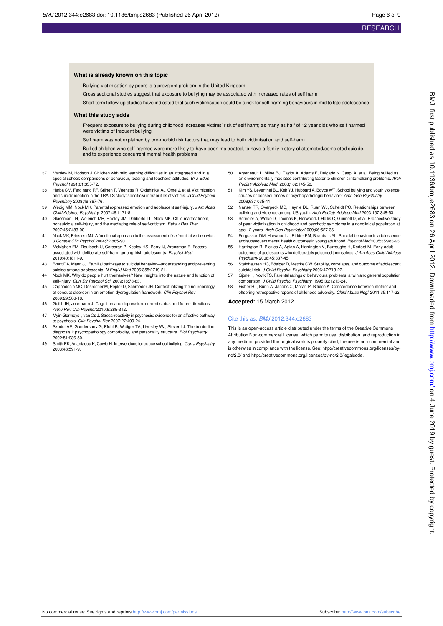#### **What is already known on this topic**

Bullying victimisation by peers is a prevalent problem in the United Kingdom

Cross sectional studies suggest that exposure to bullying may be associated with increased rates of self harm

Short term follow-up studies have indicated that such victimisation could be a risk for self harming behaviours in mid to late adolescence

#### **What this study adds**

Frequent exposure to bullying during childhood increases victims' risk of self harm; as many as half of 12 year olds who self harmed were victims of frequent bullying

Self harm was not explained by pre-morbid risk factors that may lead to both victimisation and self-harm

Bullied children who self-harmed were more likely to have been maltreated, to have a family history of attempted/completed suicide, and to experience concurrent mental health problems

- 37 Martlew M, Hodson J. Children with mild learning difficulties in an integrated and in a special school: comparisons of behaviour, teasing and teachers' attitudes. Br J Educ Psychol 1991;61:355-72.
- 38 Herba CM, Ferdinand RF, Stijnen T, Veenstra R, Oldehinkel AJ, Omel J, et al. Victimization and suicide ideation in the TRAILS study: specific vulnerabilities of victims. J Child Psychol Psychiatry 2008;49:867-76.
- 39 Wedig MM, Nock MK. Parental expressed emotion and adolescent self-injury. J Am Acad Child Adolesc Psychiatry 2007;46:1171-8.
- 40 Glassman LH, Weierich MR, Hooley JM, Deliberto TL, Nock MK. Child maltreatment, nonsuicidal self-injury, and the mediating role of self-criticism. Behav Res Ther 2007;45:2483-90.
- 41 Nock MK, Prinstein MJ. A functional approach to the assessment of self-mutilative behavior. J Consult Clin Psychol 2004;72:885-90.
- 42 McMahon EM, Reulbach U, Corcoran P, Keeley HS, Perry IJ, Arensman E. Factors associated with deliberate self-harm among Irish adolescents. Psychol Med 2010;40:1811-9.
- 43 Brent DA, Mann JJ. Familial pathways to suicidal behavior—understanding and preventing suicide among adolescents. N Engl J Med 2006;355:2719-21.
- 44 Nock MK. Why do people hurt themselves? New insights into the nature and function of self-injury. Curr Dir Psychol Sci 2009;18:78-83.
- 45 Cappadocia MC, Desrocher M, Pepler D, Schroeder JH. Contextualizing the neurobiology of conduct disorder in an emotion dysregulation framework. Clin Psychol Rev 2009;29:506-18.
- 46 Gotlib IH, Joormann J. Cognition and depression: current status and future directions. Annu Rev Clin Psychol 2010;6:285-312.
- 47 Myin-Germeys I, van Os J. Stress-reactivity in psychosis: evidence for an affective pathway to psychosis. Clin Psychol Rev 2007;27:409-24.
- 48 Skodol AE, Gunderson JG, Pfohl B, Widiger TA, Livesley WJ, Siever LJ. The borderline diagnosis I: psychopathology comorbidity, and personality structure. Biol Psychiatry 2002;51:936-50.
- 49 Smith PK, Ananiadou K, Cowie H. Interventions to reduce school bullying. Can J Psychiatry 2003;48:591-9.
- 50 Arseneault L, Milne BJ, Taylor A, Adams F, Delgado K, Caspi A, et al. Being bullied as an environmentally mediated contributing factor to children's internalizing problems. Arch Pediatr Adolesc Med 2008;162:145-50.
- 51 Kim YS, Leventhal BL, Koh YJ, Hubbard A, Boyce WT. School bullying and youth violence: causes or consequences of psychopathologic behavior? Arch Gen Psychiatry 2006;63:1035-41.
- 52 Nansel TR, Overpeck MD, Haynie DL, Ruan WJ, Scheidt PC. Relationships between bullying and violence among US youth. Arch Pediatr Adolesc Med 2003;157:348-53.
- 53 Schreier A, Wolke D, Thomas K, Horwood J, Hollis C, Gunnell D, et al. Prospective study of peer victimization in childhood and psychotic symptoms in a nonclinical population at age 12 years. Arch Gen Psychiatry 2009;66:527-36.
- 54 Fergusson DM, Horwood LJ, Ridder EM, Beautrais AL. Suicidal behaviour in adolescence and subsequent mental health outcomes in young adulthood. Psychol Med 2005;35:983-93.
- 55 Harrington R, Pickles A, Aglan A, Harrington V, Burroughs H, Kerfoot M. Early adult outcomes of adolescents who deliberately poisoned themselves. J Am Acad Child Adolesc Psychiatry 2006;45:337-45.
- 56 Steinhausen HC, Bösiger R, Metzke CW. Stability, correlates, and outcome of adolescent suicidal risk. J Child Psychol Psychiatry 2006;47:713-22.
- 57 Gjone H, Novik TS. Parental ratings of behavioural problems: a twin and general population comparison. J Child Psychol Psychiatry 1995;36:1213-24.
- 58 Fisher HL, Bunn A, Jacobs C, Moran P, Bifulco A. Concordance between mother and offspring retrospective reports of childhood adversity. Child Abuse Negl 2011;35:117-22.

#### **Accepted:** 15 March 2012

#### Cite this as: BMJ 2012;344:e2683

This is an open-access article distributed under the terms of the Creative Commons Attribution Non-commercial License, which permits use, distribution, and reproduction in any medium, provided the original work is properly cited, the use is non commercial and is otherwise in compliance with the license. See: [http://creativecommons.org/licenses/by](http://creativecommons.org/licenses/by-nc/2.0/)[nc/2.0/](http://creativecommons.org/licenses/by-nc/2.0/) and<http://creativecommons.org/licenses/by-nc/2.0/legalcode>.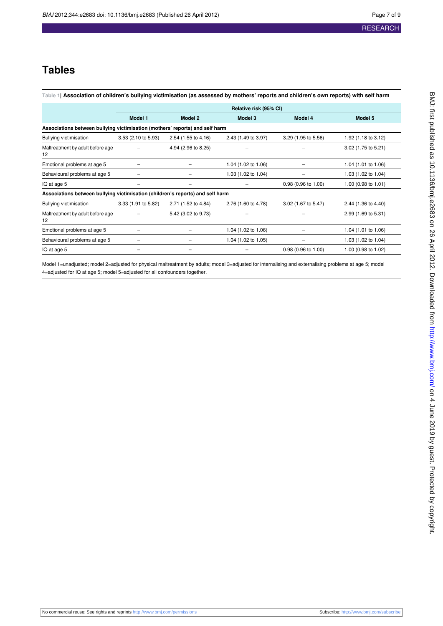# **Tables**

#### <span id="page-6-0"></span>**Table 1| Association of children's bullying victimisation (as assessed by mothers' reports and children's own reports) with self harm**

|                                                                                | Relative risk (95% CI) |                     |                     |                     |                     |  |  |  |  |  |  |
|--------------------------------------------------------------------------------|------------------------|---------------------|---------------------|---------------------|---------------------|--|--|--|--|--|--|
|                                                                                | Model 1                | Model 2             | Model 3             | Model 4             | Model 5             |  |  |  |  |  |  |
| Associations between bullying victimisation (mothers' reports) and self harm   |                        |                     |                     |                     |                     |  |  |  |  |  |  |
| <b>Bullying victimisation</b>                                                  | 3.53 (2.10 to 5.93)    | 2.54 (1.55 to 4.16) | 2.43 (1.49 to 3.97) | 3.29 (1.95 to 5.56) | 1.92 (1.18 to 3.12) |  |  |  |  |  |  |
| Maltreatment by adult before age<br>12                                         |                        | 4.94 (2.96 to 8.25) |                     |                     | 3.02 (1.75 to 5.21) |  |  |  |  |  |  |
| Emotional problems at age 5                                                    | -                      | -                   | 1.04 (1.02 to 1.06) | -                   | 1.04 (1.01 to 1.06) |  |  |  |  |  |  |
| Behavioural problems at age 5                                                  |                        |                     | 1.03 (1.02 to 1.04) |                     | 1.03 (1.02 to 1.04) |  |  |  |  |  |  |
| IQ at age 5                                                                    |                        |                     |                     | 0.98 (0.96 to 1.00) | 1.00 (0.98 to 1.01) |  |  |  |  |  |  |
| Associations between bullying victimisation (children's reports) and self harm |                        |                     |                     |                     |                     |  |  |  |  |  |  |
| Bullying victimisation                                                         | 3.33 (1.91 to 5.82)    | 2.71 (1.52 to 4.84) | 2.76 (1.60 to 4.78) | 3.02 (1.67 to 5.47) | 2.44 (1.36 to 4.40) |  |  |  |  |  |  |
| Maltreatment by adult before age<br>12                                         |                        | 5.42 (3.02 to 9.73) |                     |                     | 2.99 (1.69 to 5.31) |  |  |  |  |  |  |
| Emotional problems at age 5                                                    |                        |                     | 1.04 (1.02 to 1.06) |                     | 1.04 (1.01 to 1.06) |  |  |  |  |  |  |
| Behavioural problems at age 5                                                  |                        |                     | 1.04 (1.02 to 1.05) | -                   | 1.03 (1.02 to 1.04) |  |  |  |  |  |  |
| IQ at age 5                                                                    |                        |                     |                     | 0.98 (0.96 to 1.00) | 1.00 (0.98 to 1.02) |  |  |  |  |  |  |

Model 1=unadjusted; model 2=adjusted for physical maltreatment by adults; model 3=adjusted for internalising and externalising problems at age 5; model 4=adjusted for IQ at age 5; model 5=adjusted for all confounders together.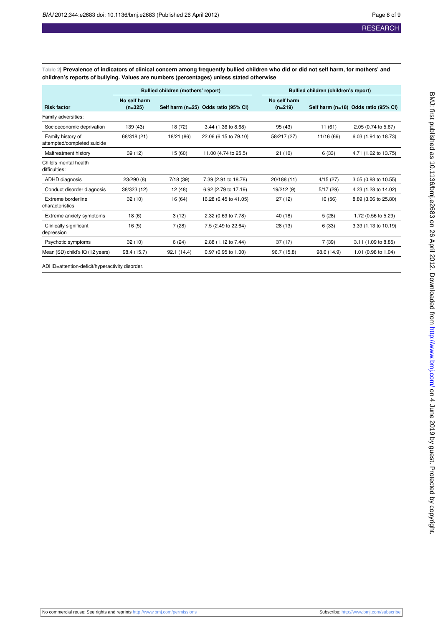<span id="page-7-0"></span>**Table 2| Prevalence of indicators of clinical concern among frequently bullied children who did or did not self harm, for mothers' and children's reports of bullying. Values are numbers (percentages) unless stated otherwise**

|                                                  | Bullied children (mothers' report) |             |                                      | Bullied children (children's report) |             |                                      |
|--------------------------------------------------|------------------------------------|-------------|--------------------------------------|--------------------------------------|-------------|--------------------------------------|
| <b>Risk factor</b>                               | No self harm<br>$(n=325)$          |             | Self harm (n=25) Odds ratio (95% CI) | No self harm<br>$(n=219)$            |             | Self harm (n=18) Odds ratio (95% CI) |
| Family adversities:                              |                                    |             |                                      |                                      |             |                                      |
| Socioeconomic deprivation                        | 139 (43)                           | 18 (72)     | 3.44 (1.36 to 8.68)                  | 95 (43)                              | 11(61)      | 2.05 (0.74 to 5.67)                  |
| Family history of<br>attempted/completed suicide | 68/318 (21)                        | 18/21 (86)  | 22.06 (6.15 to 79.10)                | 58/217 (27)                          | 11/16 (69)  | 6.03 (1.94 to 18.73)                 |
| Maltreatment history                             | 39(12)                             | 15 (60)     | 11.00 (4.74 to 25.5)                 | 21(10)                               | 6(33)       | 4.71 (1.62 to 13.75)                 |
| Child's mental health<br>difficulties:           |                                    |             |                                      |                                      |             |                                      |
| ADHD diagnosis                                   | 23/290 (8)                         | 7/18(39)    | 7.39 (2.91 to 18.78)                 | 20/188 (11)                          | 4/15(27)    | 3.05 (0.88 to 10.55)                 |
| Conduct disorder diagnosis                       | 38/323 (12)                        | 12 (48)     | 6.92 (2.79 to 17.19)                 | 19/212 (9)                           | 5/17(29)    | 4.23 (1.28 to 14.02)                 |
| Extreme borderline<br>characteristics            | 32(10)                             | 16 (64)     | 16.28 (6.45 to 41.05)                | 27(12)                               | 10(56)      | 8.89 (3.06 to 25.80)                 |
| Extreme anxiety symptoms                         | 18(6)                              | 3(12)       | 2.32 (0.69 to 7.78)                  | 40 (18)                              | 5(28)       | 1.72 (0.56 to 5.29)                  |
| Clinically significant<br>depression             | 16(5)                              | 7(28)       | 7.5 (2.49 to 22.64)                  | 28 (13)                              | 6(33)       | 3.39 (1.13 to 10.19)                 |
| Psychotic symptoms                               | 32(10)                             | 6(24)       | 2.88 (1.12 to 7.44)                  | 37(17)                               | 7(39)       | 3.11 (1.09 to 8.85)                  |
| Mean (SD) child's IQ (12 years)                  | 98.4 (15.7)                        | 92.1 (14.4) | 0.97 (0.95 to 1.00)                  | 96.7 (15.8)                          | 98.6 (14.9) | 1.01 (0.98 to 1.04)                  |

ADHD=attention-deficit/hyperactivity disorder.